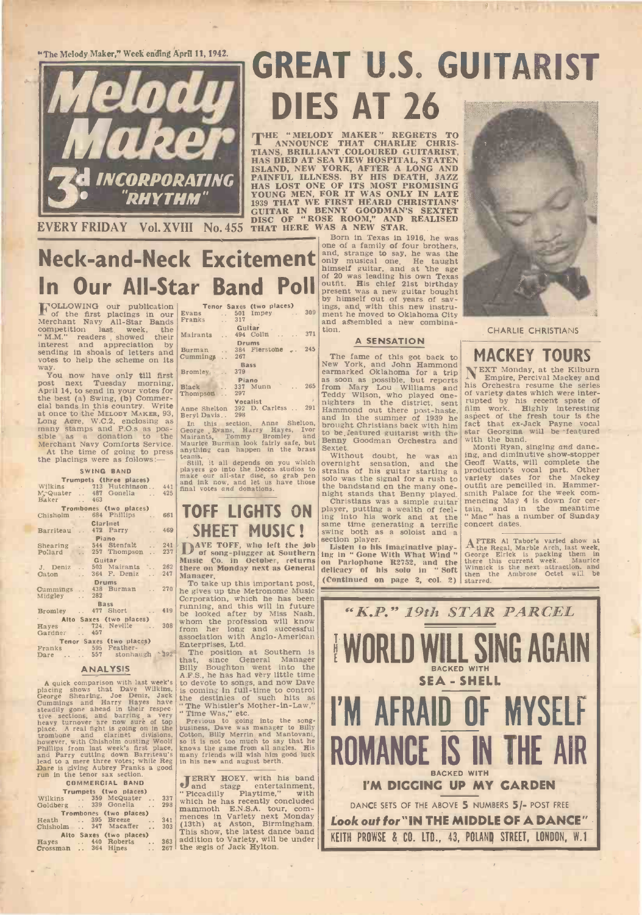"The Melody Maker," Week ending April 11, 1942.



# GREAT U.S. GUITARIST DIES AT 26

THE "MELODY MAKER" REGRETS TO<br>TANNOUNCE THAT CHARLIE CHRIS-TIANS, BRILLIANT COLOURED GUITARIST,<br>HAS DIED AT SEA VIEW HOSPITAL, STATEN<br>ISLAND, NEW YORK, AFTER A LONG AND<br>PAINFUL ILLNESS. BY HIS DEATH, JAZZ<br>HAS LOST ONE OF I

Born in Texas in 1916, he was

In Our All-Star Band Poll Tenor Saxes (two places)<br>
Evans ... 501 Impey ... 309 ings, and with this new instru-<br>
Franks ... 317 and a Seembled a new combina-<br>
... Guitar ... Guitar ... one of a family of four brothers, and, strange to say, he was the only musical one. He taught himself guitar, and at 'the age outfit. His chief 21st birthday present was a new guitar bought himself guitar of 200 was leadin by himself out of years of sav-<br>ings, and, with this new instruand assembled a new combination.

### A SENSATION

The fame of this got back to **MAC**<br>New York, and John Hammond earmarked Oklahoma for a trip NEXT M as soon as possible, but reports IV Empire, Pe<br>from Mary Lou Williams and his Orchestra and<br>Teddy Wilson, who played one-<br>mighters in the district, sent mupted by his<br>Hammond out there post-haste, film work. H<br>and in the s

Sextet. Monti Review and the Sextet.<br>
Without doubt, he was an ongernight sensation, and the Geoff Wa<br>
strains of his guitar starting a production<br>
solo was the signal for a rush to variety d

the bandstand on the many one-<br>night stands that Benny played. Smith Pa<br>glayer, putting a wealth of feel-<br>iain, and player, putting a wealth of feel-<br>iain, and at the same time generating a terrific concert concert<br>swing b section player.<br>Listen to his imaginative play-

ing in " Gone With What Wind " George E<br>
on Parlophone R2752, and the there this<br>
delicacy of his solo in " Soft then the  $(Continued on page 2, col. 2)$ 



CHARLIE CHRISTIANS

### MACKEY TOURS

NEXT Monday, at the Kilburn Empire, Percival Mackey and his Orchestra resume the series of variety dates which were inter- rupted by his recent spate of film work. Highly interesting aspect of the fresh tour is the fact that ex -Jack Payne vocal star Georgina will be featured

with the band.<br>
Monti Ryan, singing and danc-<br>ing, and diminutive show-stopper<br>
Geoff Watts, will complete the<br>
production's vocal part. Other variety dates for the Mackey<br>outfit are pencilled in. Hammer-<br>smith Palace for the week com-<br>mencing May 4 is down for cer-<br>tain, and in the meantime<br>"Mac "has a number of Sunday<br>concert dates.

AFTER Al Tabor's varied show at the Regal, Marble Arch, last week, George Elrick is packing them in there this current week. Maurice Winnick is the next attraction, and then the Ambrose Octet will be starred.



Neck -and -Neck Excitement

**FOLLOWING** our publication renormed and for the first place of the first place of the first sompetition last. week, the "M.M." readers showed their interest and suppreciation is sending in shoals of letters and works to h way.<br>You now have only till first <sup>Bror</sup>

post next Tuesday morning, Black<br>April 14, to send in your votes for Thoms the best (a) Swing, (b) Commer-<br>cial bands in this country. Write  $\frac{1 \text{ monson}}{\text{Ame She}}$ at once to the MELODY MAKER, 93, Berryl Daven are once, W.C.2, enclosing as many stamps and P.O.s as pos-<br>sible as a donation to the Mairants,<br>Merchant Navy Comforts Service. Maurice At the time of going to press<br>anything

### SWING BAND

|                                                                              |  |  | Trumpets (three places)             |  |     | ma                       |  |
|------------------------------------------------------------------------------|--|--|-------------------------------------|--|-----|--------------------------|--|
|                                                                              |  |  | Wilkins  713 Hutchinson 441         |  |     | a <b>n</b><br>fin:       |  |
|                                                                              |  |  |                                     |  | 425 |                          |  |
|                                                                              |  |  | McQuater  487 Gonelia<br>Baker  463 |  |     |                          |  |
| <b>Trombones (two places)</b>                                                |  |  |                                     |  |     |                          |  |
|                                                                              |  |  | Chisholm  684 Phillips              |  | 661 | T                        |  |
|                                                                              |  |  |                                     |  |     |                          |  |
|                                                                              |  |  | <b>Clarinet</b>                     |  |     |                          |  |
|                                                                              |  |  | Barriteau  472 Parry                |  | 469 |                          |  |
| Piano<br>Shearing  544 Stenfalt  241                                         |  |  |                                     |  |     |                          |  |
|                                                                              |  |  |                                     |  |     |                          |  |
|                                                                              |  |  | Pollard  257 Thompson  237          |  |     |                          |  |
|                                                                              |  |  | Guitar                              |  |     | Mı                       |  |
|                                                                              |  |  | J. Deniz  503 Mairants  262         |  |     |                          |  |
|                                                                              |  |  | Caton  364 F. Deniz  247            |  |     | th.                      |  |
|                                                                              |  |  |                                     |  |     | Ma                       |  |
| <b>Drums Drums</b><br>Cummings . 438 Burman . 270                            |  |  |                                     |  |     | $\overline{ }$<br>J.     |  |
|                                                                              |  |  |                                     |  |     | he                       |  |
| Midgley  282                                                                 |  |  |                                     |  |     | Co                       |  |
|                                                                              |  |  | <b>Bass</b>                         |  |     | ru                       |  |
|                                                                              |  |  | Bromley  477 Short  419             |  |     |                          |  |
|                                                                              |  |  | Alto Saxes (two places)             |  |     | be                       |  |
|                                                                              |  |  | Hayes  724. Neville  308            |  |     | wh                       |  |
| Gardner  457                                                                 |  |  |                                     |  |     | fro                      |  |
|                                                                              |  |  |                                     |  |     | ass                      |  |
| Tenor Saxes (two places)<br>Franks  595 Feather-<br>Dare  557 stonhaugh \$92 |  |  |                                     |  |     | En                       |  |
|                                                                              |  |  |                                     |  |     | $\overline{\phantom{a}}$ |  |
|                                                                              |  |  |                                     |  |     | $A = 10$                 |  |

### ANALYSIS

A quick comparison with last week's to devote<br>placing shows that Dave Wilkins. In the case of early and Harry Hayes is coming<br>Cummings and Harry Hayes have the dest<br>the destring and Harry Hayes have the case of the witter lead to a mere three votes; while Reg in his new<br>Dare is giving Aubrey Franks a good<br>run in the tenor sax section.<br>COMMERCIAL BAND

| A LINA ANA MANY MYONYO MARATI MUWYONONE.<br><b>COMMERCIAL BAND</b> | ER<br>an <sub>i</sub> |
|--------------------------------------------------------------------|-----------------------|
| Trumpets (two places)                                              | " Picc                |
| 337<br>Wilkins . 359 McQuater<br>Goldberg  339 Gonella<br>298      | which                 |
| Trombones (two places)                                             | mamr.                 |
| 341<br>Heath  395 Breeze                                           | mence                 |
| Chisholm  347 Macaffer<br>303                                      | (13th)<br>This s      |
| Alto Saxes (two places)                                            | additi                |
| 363<br>Hayes  440 Roberts<br>$\sim$<br>Crossman  364 Hines         | $267!$ the æ          |
|                                                                    |                       |

## Mairants . 494 Colin . . . 371 tion. **Burman 1884 Fierstone .. 245**<br>Cummings .. 267 **The Cummings .. 267** Bass<br>Bromley 379 Piano<br>Black ... 337 Munn ... 265 from<br>Thompson ... 297 **Tedd** Vocalist<br>Anne Shelton 392 D. Carless .. 291 Hamr<br>Beryl Davis.. 298

In this section, Anne Shelton, brought<br>George Evans, Harry Hayes, Ivor to be *it*<br>Mairants, Tommy Bromley and to be *it*<br>Maurice Burman look fairly safe, but **Benny**<br>anything can happen in the brass Sextet.

 $\begin{array}{c|c} 441 & \text{final} \\ 425 & \end{array}$ teams. Without the Beca studios to players go into the Decca studios to extrains of make our all-star disc, so grab pen solo was and ink now, and let us have those the band final votes and donations.

### 661 TOFF LIGHTS ON  $\vert_{\text{ing into his work a}}$ 469 SHEET MUSIC! Swin

D<sup>AVE</sup> TOFF, who left the job 242<br>  $2^{242}$  D of song-plugger at Southern ing in "Co. in October, returns on Parlo<br>
262 here on Monday next as General on Parlo Manager.

To take up this important post,<br>he gives up the Metronome Music<br>Corporation, which he has been 419 262<br>
Manager.<br>
Manager.<br>
To take up this important post,<br>
regives up the Metronome Music<br>
Corporation, which he has been<br>
running, and this will in future<br>
the looked after by Miss Nash,<br>
whom the profession will know<br>
fro

association with Anglo-American<br>
Enterprises, Ltd.<br>
The position at Southern is<br>
that, since General Manager<br>
Billy Boughton went into the<br>
A.F.S., he has had very little time<br>
is conving in full-time to control<br>
ave in th

Previous to going into the song-<br>business, Dave was manager to Billy<br>Cotton, Billy Merrin and Mantovani,<br>so it is not too much to say that he<br>knows the game from all angles. His<br>in his new and august berth.

JERRY HOEY, with his band<br>and stage entertainment,  $\begin{array}{|c|c|c|c|c|}\n\hline\n\text{and stage} \quad \text{entertalament,} \\
\text{Piccadilly} \quad \text{Playtime,} \quad \text{with} & \\\hline\n\end{array}$ which he has recently concluded mammoth E.N.S.A. tour, com-<br>mences in Variety next Monday (13th) at Aston, Birmingham.<br>This show, the latest dance band<br>addition to Variety, will be under<br>the egis of Jack Hylton.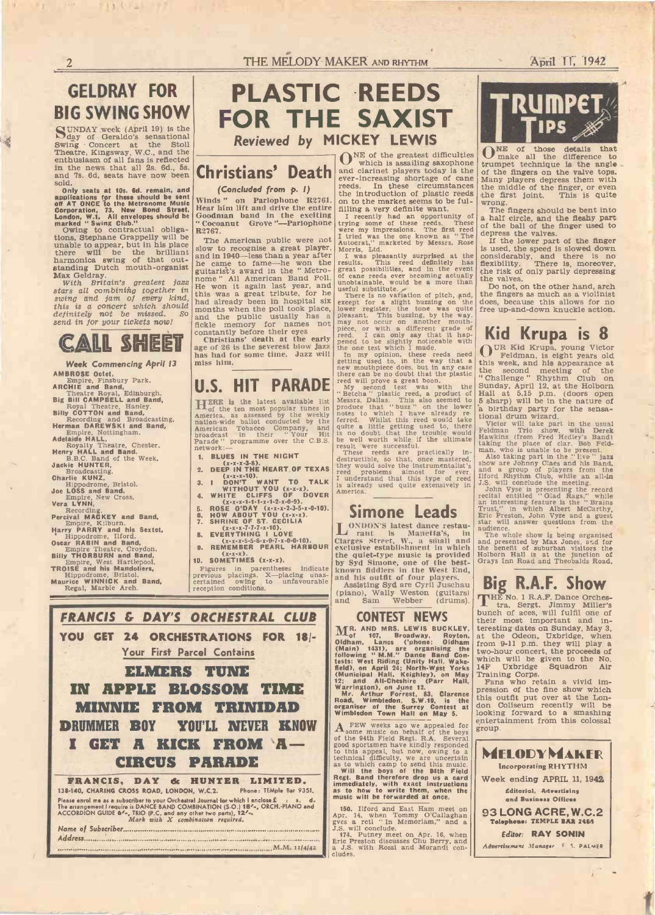# GELDRAY FOR

SUNDAY week (April 19) is the day of Geraldo's sensational Swing Concert at the Stoll Theatre, Kingsway, W.C., and the enthusiasm of all fans is reflected in the news that all 2s. 6d., 5s. and 7s. 6d. seats have now been

sold.<br>
Coniv seats at 10s. 6d. remain, and<br>
applications for these should be sent<br>
conf AT ONCE to the Metronome Music<br>
Corporation, 73. New Bond Street,<br>
London, W.1. All envelopes should be<br>
marked "Swing Glub."<br>
Owing

tions, Stephane Grappelly will be will be a unable to appear, but in his place  $\begin{bmatrix} 1 & 0 \\ \frac{1}{N} & 0 \end{bmatrix}$ 

swing and jam of every kind, this was a<br>this is a concert which should had alread<br>definitely not be missed. So and the g<br>send in for your tickets now! fickle met



Week Commencing April 13 **EXERCISE AND ARENAL ARRISTS COMMENCES**<br>
ARRISCHE and Band,<br>
Theatre Royal, Edinburgh.<br> **EXERCISE CONDUCTS**<br>
Report Theatre Royal, Edinburgh.<br>
Report Theatre Royal, Edinburgh.<br>
Report Theatre, and Band,<br>
Report of the Mexi

Jacke Huvarter, Broadcasting.<br>
Broadcasting.<br>
Charlie KUNZ,<br>
Hippodrome, Bristol.<br>
Mempire, New Cross.<br>
Franken, New Cross.<br>
Vera LYNN,<br>
Recording.<br>
Percival MACKEY and Band,<br>
Empire, Kilburn.<br>
Harry PARRY and his Sextet,<br>



### Christians' Death and clarinet players today is the (Concluded from p. I) and clarinet players today is the ever-increasing shortage of cane

Winds " on Parlophone R2761. the introduction of plastic reeds<br>Hear him lift and drive the entire filling a very definite want. Hear him lift and drive the entire filling a ve<br>Goodman band in the exciting I recently " Cocoanut Grove "---Parlophone trying so<br>R2767.

there will be the brilliant  $\begin{bmatrix} \text{m} \\ \text{m} \\ \text{m} \end{bmatrix}$ . The American public were not<br>there will be the brilliant and in 1940—less than a year after<br>harmonica swing of that out-<br>he came to fame—he won the<br>standing Dut The American public were not slow to recognise a great player, and in 1940—less than a year after guitarist's award in the " Metro-<br>
nome " All American Band Poll.<br>
He won it again last year, and<br>
this was a great tribute, for he<br>
had already been in hospital six<br>
months when the poll took place,<br>
e. and the public usually has a fickle memory for names not

constantly before their eyes  $\frac{\text{prec}}{\text{c}}$ , or where  $\frac{\text{prec}}{\text{c}}$ , i can constantly  $\frac{\text{re}}{\text{c}}$ age of 26 is the severest blow jazz  $\frac{1}{10}$  has had for some time. Jazz will  $\frac{1}{10}$  my miss him.

### U.S. HIT PARADE

HERE is the latest available list Messrs. D<br>
of the ten most popular tunes in produce t<br>
America, as assessed by the weekly notes to nation-wide ballot conducted by the ferred.<br>
American Tobacco Company, and quite a<br>
broadcast in their "Your Hit is no do<br>
Parade " programme over the C.B.S. he well<br>
result with

- 
- 
- 1. BLUES IN THE NIGHT<br>
2. DEEP IN THE HEART OF TEXAS they would<br>
(x-x-x-10).<br>
3. 1 DON'T WANT TO TALK I understand<br>
3. 1 DON'T WANT TO TALK I understand<br>
4. WHITE CLIFFS OF DOVER<br>
4. WHITE CLIFFS OF DOVER<br>
5. ROSE O'DAY (
- 
- 

Simone Leads

- 
- 
- 9. REMEMBER PEARL HARBOUR exclusive es  $(x-x)$ .
- $(x-x-x)$ .<br>10. SOMETIMES  $(x-x-x)$ .

Figures in parentheses indicate known<br>previous placings. X-placing unas-<br>certained owing to unfavourable assistant<br>reception conditions.



# **TRUMPET,4**

reeds. In these circumstances the middle of the introduction of plastic reeds the first joint.  $\sum_{\text{make all the difference to} }$ <br>  $\sum_{\text{make all the difference to} }$ <br>
trumpet technique is the angle<br>
of the fingers on the valve tops.<br>
Many players depress them with Many players depress them with<br>the middle of the finger, or even<br>the first joint. This is quite wrong. The fingers should be bent into

the introduction of plastic reeds the first on to the market seems to be ful-<br>illing a very definite want.<br>I recently had an opportunity of The first recently had an opportunity of a half c<br>trying some of these reeds. Thes a half circle, and the fleshy part of the ball of the finger used to depress the valves. If the lower part of the finger

results. This reed definitely has flexibilities, and in the event of cane reeds ever becoming actually the risk unobtainable, would be a more than is used, the speed is slowed down considerably, and there is no flexibility. There is, moreover, the risk of only partly depressing the valves.

useful substitute. ... Do not interest is no variation of pitch, and, the fing except for a slight buzzing on the does, be lower register, the tone was quite free up<br>pleasant. This buzzing, by the way, may not occur on another mouth-Do not, on the other hand, arch the fingers as much as a violinist does, because this allows for no free up-and-down knuckle action.

### piece, or with a different grade of reed. I can only say that it happened to be slightly noticeable with Kid Krupa is 8

the one test which I made.<br>
In my optimion, these reeds need  $\begin{bmatrix} \text{UR} & \text{I} \\ \text{refting} & \text{get of} \\ \text{refting} & \text{used to, in the way that a} \end{bmatrix}$  and the wear mouthpiece does, but in any case the second the second out that the plastic reed will pr OUR Kid Krupa, young Victor **U** Feldman, is eight years old this week, and his appearance at the second meeting of the<br>"Challenge" Rhythm Club on " Challenge" " Rhythm Club on Sunday, April 12, at the Holborn Hall at 5.15 p.m. (doors open 5 sharp) will be in the nature of

moduce that "buzz" on the lower<br>produce that "buzz" on the lower<br>ferred. Whilst this reed would take<br>ferred. Whilst this reed would take<br>the well worth while if the etime and the state of the state<br>is no doubt that the tro tional drum Wizard. Victor will take part in the usual Feldman Trio show, with Derek Hawkins (from Fred Hedley's Band) taking the place of clar. Bob Feld-<br>man, who is unable to be present.<br>Also taking part in the " live " jazz

reed problems almost for ever. and a grade red problems almost for ever. In the unit

is already used quite extensively in J.S. will do an already used quite extensively in J.S. will do show are Johnny Class and his Band,<br>show are Johnny Class and his Band,<br>and a group of players from the<br>JIford Rhythm Club, while an all-in<br>J.S. will conclude the meeting.<br>John Vyse is presenting the record<br>recital entitle

LONDON'S latest dance restau-<br>
rant is Manetta's, in The whole<br>
carges Street. W., a small and present<br>
exclusive establishment in which the benefit the quiet-type music is provided Bolborn H by Syd Simone, one of the best- Grays Inn known fiddlers in the West End, and his outfit of four players. The whole show is being organised<br>and presented by Max Jones, and for<br>the benefit of suburban visitors the<br>Holborn Hall is at the junction of<br>Grays Inn Road and Theobalds Road.

## Big R.A.F. Show

**CONTEST NEWS** their most important and in-<br>AND MRS. LEWIS BUCKLEY, teresting dates on Sunday, May 3,  $\frac{101}{100}$  107, Broadway, Royton, at the Ode Didham, Lanes ('phone: Oldham from 9-11 t THE No. 1 R.A.F. Dance Orches-tra, Sergt. Jimmy Miller's bunch of aces, will fulfil one of their most important and interesting dates on Sunday, May 3, at the Odeon, Uxbridge, when from 9-11 p.m. they will play a two-hour concert, the proceeds of which will be given to the No. 14F Uxbridge Squadron Air Training Corps. Fans who retain a vivid im-

(Main) 1431), are organising the  $100\,\text{mol}$ <br>
following "M.M." Dance Band Cont<br>
fests: West Riding (Unity Hall, Wake, which<br>
field), on April 24; North-West Yorks 14F<br>
field), on April 24; North-West Yorks 14F<br>
(Municipal  $A_{\text{some music on behalf of the boys}}^{\text{FEW weeks ago we appeared for}}$  some music on behalf of the boys of the 94th Field Regt. R.A. Several pression of the fine show which this outfit put over at the Lon- don Coliseum recently will be looking forward to a smashing entertainment from this colossal group.

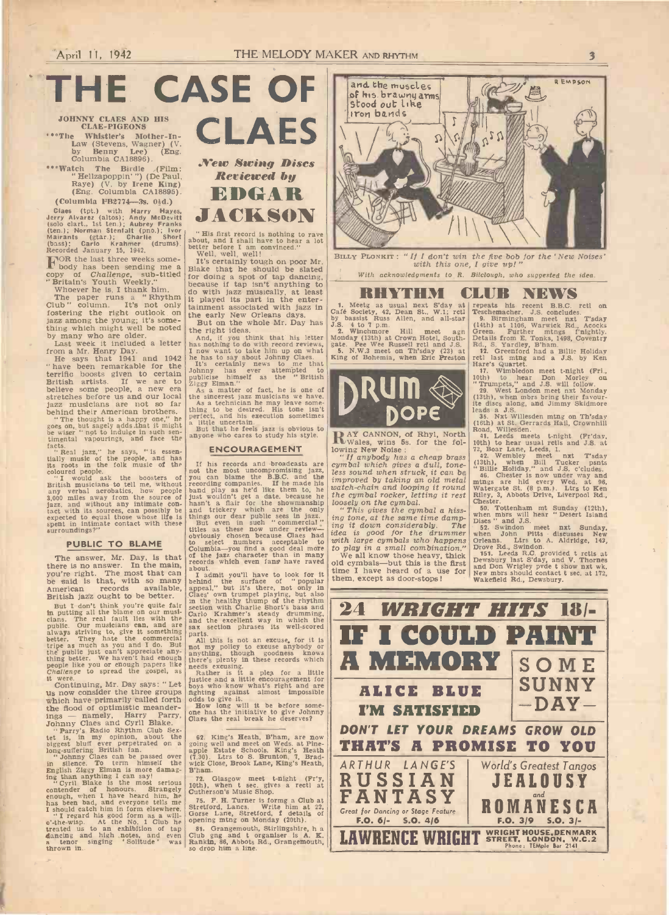THE CASE OF Strawing and the muscle

JOHNNY CLAES AND HIS<br>CLAE-PIGEONS CLAE-PIGEONS

\*\*\*The Whistler's Mother-In-<br>Law (Stevens, Wagner) (V.<br>by Benny Lee) (Eng.<br>Columbia CA18896).

\*\*\*Watch The Birdie (Film: " Hellzapoppin' ") (De Paul, Raye) (V. by Irene King) (Eng. Columbia CA18895). (Columbia FB2774-3s.  $0\frac{1}{2}d$ .)

Claes (tpt.) with Harry Hayes,<br>
lerry Alvarez (altos); Andy MoDevitt<br>
(solo clart, 1st ten.); Aubrey Franks<br>
(solo clart, 1st ten.); Aubrey Franks<br>
Mairants (gtar.); Charlie Short<br>
Mairants (gtar.); Charlie Short<br>
(bass):

jazz among the young; it's some-<br>thing which might well be noted the right by many who are older.<br>Last week it included a letter has not

from a Mr. Henry Day.<br>He says that 1941 and 1942 he has to<br>"have been remarkable for the list" server terrific boosts given to certain outlies<br>British artists. If we are to  $\frac{2 \text{iggs Elm}}{2 \text{ggy Elm}}$ <br>stretches before us and our local in sincer-<br>jazz musicians are not so far in the sincer-

behind their American brothers. thing to<br>
" The thought is a happy one," he perfect,<br>
goes on, but sagely adds that it might a little<br>
be wiser " not to indulge in such sen-<br>
anyone

timental vapourings, and face the anyone v<br>timental vapourings, and face the language of the people, and has<br>the record of the people, and has the coloured people as<br>the coloured people, as the boosters of pour can<br>British

### PUBLIC TO BLAME

The answer, Mr. Day, is that  $\begin{bmatrix} \text{of } & \text{th} \\ \text{there is no answer.} \end{bmatrix}$  recorder there is no answer. In the main, you're right. The most that can available, but it is that, with so many behind the sail appeal," but British jazz ought to be better.

But I don't think you're quite fair is entired in<br>the putting all the blame on our must-carlo Kriston w<br>cians. The real fault lies with the and the<br>public. Our musicians can, and are in and the<br>public. Our musicians can, a

it were. Continuing, Mr. Day says: " Let us now consider the three groups which have primarily called forth when may be mainly the flood of optimistic meander-<br>ings — namely, Harry Parry,<br>Johnny Claes and Cyril Blake.

ings — namely, Harry Parry, one has<br>
Mohny Claes the Claes the Parry's Radio Rhythm Club Sex-<br>
tet is, in my opinion, about the 62. Kin<br>
biggest built ever perpetrated on a going well<br>
cong-suffering British fan.<br>
"Johnny

contender of honours. Strangely Cutherson<br>has been bad, and everyone tells me<br>
I should catch him in form elsewhere.<br>
"I regard his good form as a will-<br>
"I regard his good form as a will-<br>
"I regard his good form as a wil

treated us to an exhibition of tap 31, Gradiancing and high notes, and even Club gng<br>a tenor singing 'Solitude' was kankin, 8<br>htrown in. Solitude' was kankin, 8



" His first record is nothing to rave about, and I shall have to hear a lot better before I am convinced."

copy of Challenge, sub-titled for doing a spectrum of is, I thank him.<br>
"Britain's Youth Weekly."<br>
The paper runs a "Rhythm" it played its runs The paper runs a "Rhythm" it played its runs column. It's not only<br>
fostering Well, well, well!<br>It's certainly tough on poor Mr.<br>Blake that he should be slated for doing a spot of tap dancing,  $\begin{array}{c|c}\n & \text{Witt} \\
 \hline\n \end{array}$ do with jazz musically, at least<br>it played its part in the entertainment associated with jazz in  $\begin{bmatrix} 1. & \text{Metg} \\ \text{caf} & \text{cof} \\ \text{but on the whole Mr. Day has} \\ 1.8. & 1.0 \end{bmatrix}$ <br>But on the whole Mr. Day has  $\begin{bmatrix} 1. & \text{Metg} \\ \text{by basis} \\ 1.8. & 4.0 \end{bmatrix}$ 

the right ideas.  $\begin{array}{c} 2.2 \text{ And, if you think that his letter.} \end{array}$ 

has nothing to do with record reviews, gate. Per now vant to take him up on what the has to say about Johnny Claes.<br>It's certainly news to me that  $\frac{1}{k}$  ing of  $\frac{1}{k}$  or the state  $\frac{1}{k}$  of  $\frac{1}{k}$  of  $\frac{1}{k}$ 

the sincerest jazz musicians we have.<br>
As a technician he may leave some thing to be desired. His tone isn't<br>
herfect, and his execution sometimes<br>
a little uncertain.<br>
But that he feels jazz is obvious to<br>
anyone who care

### ENCOURAGEMENT

If his records and broadcasts are  $cymbal$  hot the most uncompromising jazz, less sou proved to the term to the label three band plays as held like them to, he had that wouldn't get a date, because he the cymbin provided that and trickery which are the only "This and trickery which are the only "This and t

about.<br>
I admit you'll have to look for it time I have held the surface of "popular behind the surface of "popular them, except a appeal," but it's there, not only in Class' own trumpet playing, but also<br>
Class' own trumpe

parts.<br>
All this is not an excuse anybody or<br>
anything, though goodness knows<br>
there's plenty in these records which<br>
Rather is it a plea for a little

justice and a little encouragement for  $\sim$ fighting against almost impossible odds to give it.<br>How long will it be before some-

one has the initiative to give Johnny Claes the real break he deserves?

62. King's Heath, B'ham, are now going well and meet on Weds. at Pine-<br>apple Estate Schools. King's Heath  $(7.30)$ . Ltrs to S. Brunton, 7, Brad-<br>wick Close, Brook Lane, King's Heath,  $\overline{A}$ 

75. F. H. Turner is formg a Club at Stretford, Lancs. Write him at 22, Gorse Lane, Stretford, f details of Gorse Lane, Stretford, f details of Gorse Lane, Stretford, f details of Gorse Lane, on Monday (20th).

81. Grangemouth, Stirlingshire, h a Club gng and t organiser is  $A$ . K. Rankin, 86, Abbots Rd., Grangemouth, ||



BILLY PLONKIT: "If I don't win the five bob for the 'New Noises' with this one, I give up!"

With acknowledgments to R. Bilclough, who suggested the idea.

1. Meetg as usual next S'day at Café Society, 42, Dean St., W.1; retl by bassist Russ Allen, and all-star J.S. 4 to 7 p.m.<br>J.S. 4 to 7 p.m.<br>2. Winchmore Hill meet agn

z. when one rul meet agn<br>Monday (13th) at Crown Hotel, South-<br>gate. Pee Wee Russell rctl and J.S.<br>5. N.W.3 meet on Th'sday (23) at<br>King of Bohemia, when Eric Preston



RAY CANNON, of Rhyl, North Rowales, wins 5s. for the fol-<br>lowing New Noise :

lowing New Noise :<br>
"If any<br>
body has a cheap brass<br>
"The cymbal which gives a dull, tone-<br>
less sound when struck, it can be<br>
"Billie Henry and the dull, tone-<br>
"This gives a dull, tone-<br>
"This gives a dull, tone-<br>
"This

ing it down considerably. The bises in the state of the state of the state of the state with large cymbals who happens orleans

to play in a small combination." We all know those heavy, thick old cymbals-but this is the first time I have heard of a use for them, except as door-stops!

RHYTHM CLUB NEWS 1. Meetg as usual next S'day at Café Society, 42, Dean St., W.1; rctl present mather. J.S. concludes.<br>by bassist Russ Allen, and all-star 9. Birmingham meet nxt Tsday repeats his recent B.B.C. rctl on Teschemacher. J.S. concludes. 9. Birmingham meet nxt T'sday

(14th) at 1106, Warwick Rd., Acocks Green. Further mtngs Details from E. Tonks, 1498, Coventry Rd., S. Yardley, B'ham. 12. Greenford had a Billie Holiday

rctl last mtng and a J.S. by Ken<br>Hare's Quartet.<br>17. Wimbledon meet t-night (Fri., 17. Wimbledon meet t-night (Fri., 10th) to hear Don Morley on

**DRUM** 29. West London meet nxt Monday<br>(13th), when mbrs bring their favour-<br>RODE leads a J.S. " Trumpets," and J.S. will follow. 29. West London meet nxt Monday (13th), when mbrs bring their favour-ite discs along, and Jimmy Skidmore leads a J.S. 35. Nxt Willesden mtng on Th'sday

(16th) at St. Gerrards Hail, Crownhill Road, Willesden.<br>41. Leeds meets t-night (Fr'day, 10th) to hear usual relis and J.S. at<br>72, Boar Lane, Leeds, I.<br>72, Boar Lane, Leeds, I. 42. Wembley meet nxt T'sday

(13th), when Bill Tucker psnts<br>
" Billie Holiday," and J.S. c'cludes.<br>
46. Chester is now under way and<br>
mtngs are hid every Wed. at 96,<br>
Watergate St. (8 p.m.). Ltrs to Ken Riley, 3, Abbots Drive, Liverpool Rd., Chester.<br>Chester. 50. Tottenham mt Sunday (12th), 50. Tottenham mt Sunday (12th), when mbrs will hear " Desert Island

Discs " and J.S.<br>52. Swindon meet nxt Sunday, when John Pitts discusses New

orieans. Ltrs to A. Aldridge, 142,<br>Drove Rd., Swindon.<br>151, Leeds R.C. provided t relis at<br>151, Leeds R.C. provided t relis at<br>Dewsbury last S'day, and V. Thornes<br>and Don Wrigley pvde t show nxt wk.<br>New mbrs should contact

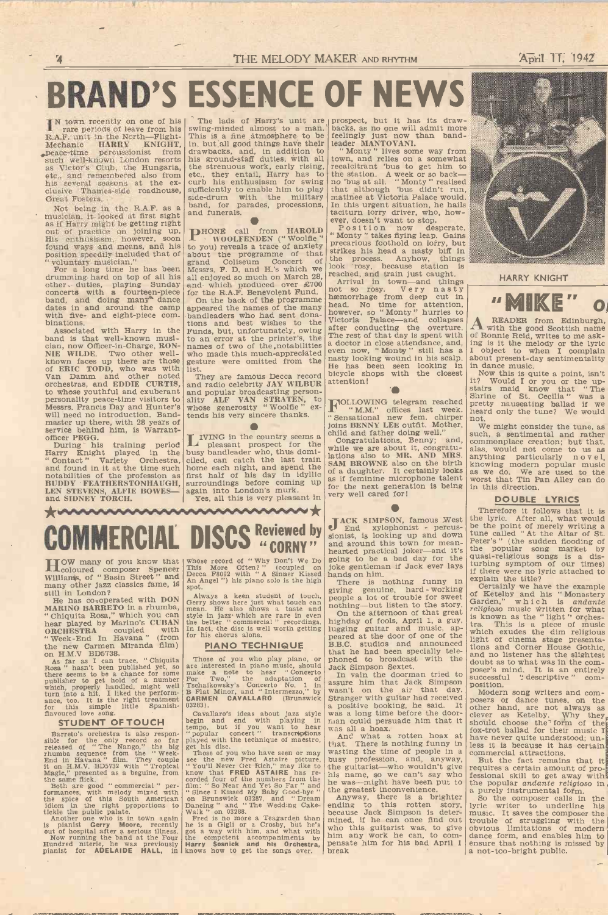# BRAND'S ESSENCE OF NEWS

IN town recently on one of his 1 rare periods of leave from his R.A.F. unit in the North-Flight-Mechanic HARRY KNIGHT, peace-time percussionist from peace -time percussionist from such well-known London resorts as Victor's Club, the Hungaria, the strenuous webed, and remembered also from etc., they entail also from clusive Thames-side roadhouse, sufficiently to end of the contract  $\frac{1}{\text{side-drum}}$  with Great Fosters.

Not being in the R.A.F. as a musician, it looked at first sight and funerals, as if Harry might be getting right out of practice on joining up. HONE can be discontinuous control out of practice on  $\mathbb{R}^3$ . His enthusia found ways and means, and his to you) revolution speedily included that of about the " voluntary musician." For a long time he has been Messrs. F.

drumming hard on top of all his other duties, playing Sunday concerts with a fourteen-piece for the R.A.<br>band, and doing many<sup>®</sup> dance on the kand<br>dates in and around the camp appeared the camp with five- and eight-piece c

Associated with Harry in the Funds, b band is that well-known musi- to an err cian, now Officer-in-Charge, RON-<br>NIE WILDE. Two other well- who made<br>known faces up there are those gesture w<br>of ERIC TODD, who was with list.<br>Van Damm and other noted They are to whose youthful and exuberant personality peace-time visitors to Messrs. Francis Day and Hunter's master up there, with 28 years of service behind him, is Warrant-<br>officer PEGG.

During his training period  $\Box$  plead Harry Knight played in the busy ban Example instanting the time such that the time such " Contact" Variety Orchestra, and found in it at the time such notabilities of the profession as BUDDY - FEATHERSTONHAUGH, LEN STEVENS, ALFIE BOWES- and SIDNEY TORCH. LEN STEVENS, ALFIE BOWES— again into London's murk. Tor the next general condon of the New York Change of the New York Change of the New York Change of the New York Change of the New York Change of the New York Change of t

The lads of Harry's unit are prospect, swing-minded almost to a man. backs, as This is a fine atmosphere to be feelingly in, but all good things have their<br>hadrawbacks, and, in addition to  $10^{10}$  Monty  $10^{10}$ <br>his ground-staff duties, with all town, and<br>the strenuous work, early rising, recalcitrant<br>etc., they entail, Harry has to the st side-drum with the military matinee aband, for parades, processions, In this usual funerals.

**PHONE** call from HAROLD  $P'$  os it it on the to you reveal to you reveal a race of anxiety precarious footh about the programme of that strikes his he grand Coliseum Concert of the process.<br>Finally different process a ra and which produced over £700<br>for the R.A.F. Benevolent Fund.<br>On the back of the programme

On the back of the programme appeared the names of the many bandleaders who had sent dona- however, tions and best wishes to the  $\frac{\text{victoria}}{\text{sfor}}$ Funds, but, unfortunately, owing the rest of two of the printer's, the names of two of the notabilities who made this much appreciated even now gesture were omitted from the  $\frac{\text{max}}{\text{na}}$  looks

list.<br>They are famous Decca record bicycle shop<br>and radio celebrity JAY WILBUR attention! and popular broadcasting person-<br>ality ALF VAN STRATEN, to whose generosity "Woolfie" extends his very sincere thanks.

IVING in the country seems a  $\mu$  congress of the pleasant prospect for the  $\mu$  congr busy bandleader who, thus domi-<br>ciled, can catch the last train also also home each night, and spend the first half of his day in idyllic  $\sin x$  as if femilies surroundings before coming up as if femilies

# COMMERCIAL DISCS Reviewed by

HOW many of you know that coloured composer Spencer Williams, of "Basin Street" and many other jazz classics fame, is<br>still in London?

He has co-operated with DON CHITY shows a research in a rhumba, mean. He also<br>
"Chiquita Rosa," which you can style in jazz which you can be also the played by Marino's CUBAN the better " com

CONCHESTRA coupled with In fact, the disc<br>
"Week-End In Havana" (from for his chorus a<br>
the new Carmen Miranda film) PIANO 1<br>
In fact, the disc<br>
many Carmen Miranda film)<br>
No. HAV. BD5738.<br>
As far as I can trace, "Chiquita

### STUDENT OF TOUCH begin and

Barreto's orchestra is also respon-<br>sible for the only record so far played with the<br>released of "The Nango," the big get his disc.<br>rhumba sequence from the "Week- Those of you<br>End in Hawana," film. They couple see the new

the same flick.<br>Both are good " commercial " per- film: "So the regional " commercial " commercial " commercial<br>the spice of this South American on Bruns<br>diom in the right proportions to Bancing "<br>Another one who is in tow

is pianist Gerry Moore, recently he is a C<br>out of hospital after a serious illness. got a way<br>Now running the band at the Four He comp<br>Hundred niterie, he was previously Harry So<br>pianist for ADELAIDE HALL, in knows ho

whose record of " Why Don't We Do This More Often?" (coupled on Joke gen<br>Decca F8092 with " A Sinner Kissed hands on<br>An Angel ") his piano solo is the high There spot.

Always a keen student of touch. Beginning the corry shows here just what touch can mean. He also shows a taste and nothing-style in jazz which are rare in even On the better "commercial" recordings. highday In fact, the di

Those of you who play piano, or phoned<br>
are interested in piano music, should Jack Sim<br>
make a note to hear "Concerto In vai<br>
For Two," the adaptation of<br>
Tschaikowsky's Concerto No. 1 in<br>
B Flat Minor, and "Intermezzo," b

03283).<br>Cavallaro's ideas about jazz style was all<br>tempo, but if you want to hear<br>"popular concert" transcriptions was all<br>played with the technique of maestro,  $\begin{array}{c} \text{Anc} \\ \text{max} \\ \text{phase of the technique of master} \\ \text{The site of you who have seen or may} \end{array}$ 

Fee the new Fred Astaire picture, busy professes the new Fred Astaire picture, busy profession and the synchrome of the synchrome of the synchrome of the members from the pultarists corded four of the numbers from the puls

Dancing " and " The Wedding Cake - ending Walk " on 03288.<br>Fred is no more a Teagarden than he is no more a Teagarden than he is a Gigli or a Crosby, but he's got a way with him, and what with who this the competent accompaniments by him<br>Harry Sosnick and his Orchestra, pensa<br>knows how to get the songs over. break

backs, as no one will admit more backs, as no one will admit more<br>feelingly just now than band-<br>leader MANTOVANI.<br>"Monty " lives some way from the same way from the same way from the same way from the same of the same of the same way from the same of the

town, and relies on a somewhat<br>recalcitrant 'bus to get him to<br>the station. A week or so back—<br>no 'bus at all. "Monty " realised<br>that although 'bus didn't run,<br>matinee at Victoria Palace would.<br>In this urgent situation, he

tacitum lorry driver, who, how-<br>ever, doesn't want to stop.<br>
Position now desperate.<br>
"Monty" takes fiying leap. Gains<br>
precarious foothold on lorry, but<br>
strikes his head a nasty biff in<br>
the process. Anyhow, things<br>
look nasty looking wound in his scalp. about prechable the has been seen looking in in dance<br>bicycle shops with the closest Now titention!<br>attention! it? Wou

FOLLOWING telegram reached

I "M.M." offices last week. heard only<br>"Sensational new fem. chirper not.<br>Joins BENNY LEE outfit. Mother, we might<br>child and father doing well." We might<br>while we are about it, congratulations, Benny; and, commonpl<br>lations for the next generation is being<br>very well cared for!

 $\frac{1}{\pi}$  and  $\frac{1}{\pi}$  xylophonist - percus-<br>sionist, is looking up and down tune called JACK SIMPSON, famous West and around this town for mean-<br>hearted practical joker-and it's the popularised<br>going to be a bad day for the quasi-reli joke gentleman if Jack ever lays hands on him.

There is nothing funny in  $\exp\{\frac{\exp\{i\}}{\|i\|}\}$ 

In jazz which are rate in even better "commercial" recordings.<br>
http://www.tet.the disc is well worth getting lugging guitar and music, applies that the disc is well worth getting lugging guitar and music, applies that the giving genuine, hard working of Ketally<br>people a lot of trouble for sweet  $\begin{bmatrix} \text{Cetail} \\ \text{on } k\text{etel} \end{bmatrix}$ <br>nothing—but listen to the story Garden,"<br>On the afternoon of that great religioso<br>highday of fools, April 1, a g B.B.C. studios and announced<br>that he had been specially tele-<br>phoned to broadcast with the and no list<br>doubt as to

Jack Simpson Sextet.<br>
In vain the doorman tried to word's min<br>
assure him that Jack Simpson<br>
wasn't on the air that day.<br>
Stranger with guitar had received<br>
Modern<br>
Stranger with guitar had received<br>
a positive booking, he

that. There is nothing funny in less it is<br>wasting the time of people in a commercial busy profession, and, anyway, But the guitarist—who wouldn't give requires a his name, so we can't say who ressional s he guitarist—who wouldn't give<br>his name, so we can't say who<br>he was—might have been put to<br>the greatest inconvenience.

the greatest inconvenience.<br>
Anyway, there is a brighter<br>
ending to this rotten story, lyric write<br>
because Jack Simpson is deter-<br>
mined, if he can once find out trouble of<br>
who this guitarist was, to give<br>
phim any work



HARRY KNIGHT



A READER from Edinburgh, writes to me ask-<br>of Ronnie Reid, writes to me ask-<br>like melody or the lyric ing is it the melody or the lyric I object to when I complain about present-day sentimentality in dance music.

Now this is quite a point, isn't<br>it? Would I or you or the up-<br>stairs maid know that "The Shrine of St. Cecilia " was a pretty nauseating ballad if we heard only the tune? We would

not.<br>We might consider the tune, as We might consider the tune, as<br>such, a sentimental and rather<br>commonplace creation; but that,<br>alas, would not come to us as<br>anything particularly novel,<br>knowing modern popular music<br>as we do. We are used to the<br>worst that in this direction.

### DOUBLE LYRICS

Therefore it follows that it is the lyric. After all, what would be the point of merely writing a tune called " At the Altar of St.

Peter's" (the sudden flooding of<br>the popular song market by<br>quasi-religious songs is a dis-<br>quasi-religious songs is a dis-<br>turbing symptom of our times)<br>if there were no lyric attached to<br>explain the title?<br>Certainly we h doubt as to what was in the composer's mind. It is an entirely successful " descriptive " com-

successful " descriptive " com-<br>position.<br>Modern song writers and com-<br>posers of dance tunes, on the<br>other hand, are not always as clever as Ketelby. Why they should choose the form of the fox-trot ballad for their music I have never quite understood; unless it is because it has certain commercial attractions. But the fact remains that it

requires a certain amount of pro- fessional skill to get away with fessional skill to get away with<br>the popular *andante religioso* in

a purely instrumental form.<br>So the composer calls in the<br>lyric writer to underline his<br>music. It saves the composer the<br>trouble of struggling with the obvious limitations of modern dance form, and enables him to ensure that nothing is missed by a not-too-bright public.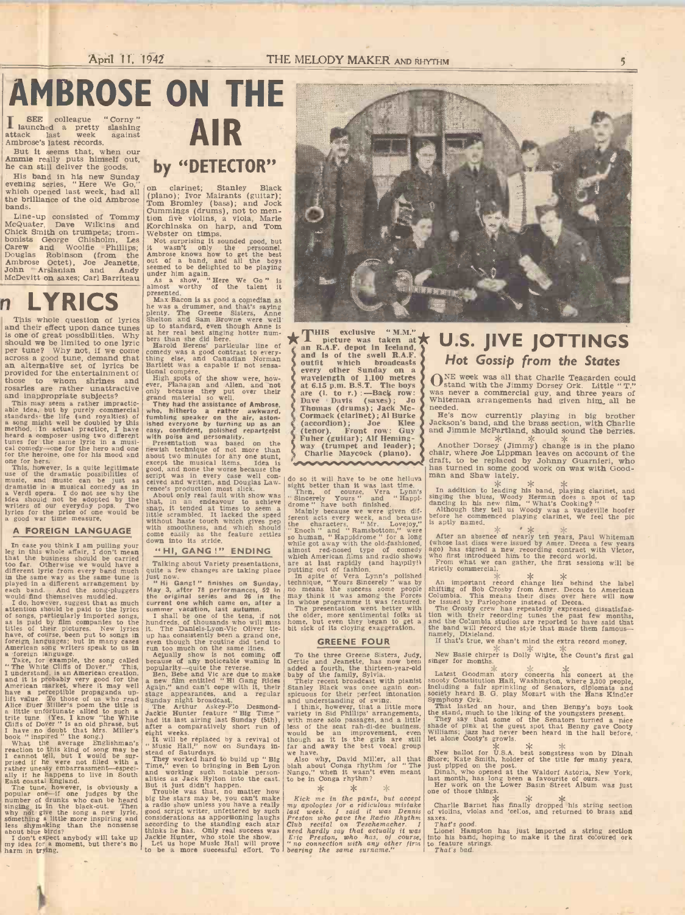## AMBROSE ON THE SEE colleague " Corny " I launched <sup>a</sup> pretty slashing

attack last week against<br>Ambrose's latest records.

But it seems that, when our Ammie really puts himself out, he can still deliver the goods.

evening series, "Here We Go," on cla<br>which opened last week, had all (piano);<br>the brilliance of the old Ambrose  $\begin{bmatrix} 1 & 0 \\ 0 & 0 \end{bmatrix}$ bands.

Line-up consisted of Tommy Cuater, Dave Wilkins and Conick Smith on trumpets; trom- bonists George Chisholm, Les Mot surpr Carew and Woolfie Phillips; it wash-<br>Douglas Robinson (from the Ambrose Octet), Joe Jeanette, Ambrose Octet), Joe Jeanette, John - Arslanian and Andy McDevitt on saxes; Carl Barriteau as a s

## $n$  LYRICS  $\sum_{\substack{\text{Max Ba.com is as good a conedian as}\n \text{begin, and that's saying}\n \text{linear, and that's saying}\n \end{math}$

This whole question of lyrics and their effect upon dance tunes is one of great possibilities. Why<br>should we be limited to one lyric Harold<br>per tune? Why not, if we come emedy was across a good tune, demand that thing else<br>an alternative set of lyrics be partiett w<br>provided for the entertainment of  $\frac{\text{tanh}}{\text{with}}$ and movided for the entertainment of those to whom shrines and rosaries are rather unattractive and inappropriate subjects?

and imappropriate subjects?<br>This may seem a rather impractic-<br>able idea, but by purely commercial<br>standards the life (and royalties) of<br>a song might well be doubled by this<br>method. (In actual practice, I have<br>heard a compo

one for hers.<br>
This, however, is a quite legitimate and a second the<br>
use of the dramatic possibilities of script was<br>
use of the dramatic possibilities of script was<br>
dramatic in a musical comedy as in ceived and<br>
dramati

### A FOREIGN LANGUAGE with smooth

In case you think I am pulling your down into leg in this whole affair, I don't mean  $\begin{array}{c} \text{down} \\ \text{in} \\ \text{that} \end{array}$ too far. Otherwise we would have a different lyric from every band much quite a ferme way as the same tune is just now.<br>in the same way as the same tune is just now.

each band. And the song-pluggers would find themselves muddled.<br>I do, however, suggest that as much attention should be paid to the lyrics summer<br>attention should be paid to the lyrics summer<br>as is paid by film companies t titles of their, pictures. New lyrics it. The latter have, of course, been put to songs in up has co foreign languages; but in many cases even the<br>American song writers speak to us in run too a foreign language.<br>Take, for example, the song called because c

"The White Cliffs of Dover." This, popularity understand, is an American creation, Ben, I understand it is probably very good for the  $\alpha$  have the American market, where it may well  $\alpha$  have a perceptible propaganda up-<br> lift value. To those of us who read Sunday night value. To those of us who read Sunday night a little unfortunate allied to such a  $\frac{1}{3}$  ackie H trite tune. (Yes, I know "the White Tand its<br>Cliffs of Dover " is an old phrase, but I had its<br>I have no doubt that Mrs. Miller's sight we

heat in the awers of the song.) The most include the same in the average the reaction to this kind of song may be intended in the same of fille with the same that the same that the weak of the weak of the mappens to live i

singing it in the black-out. Then a radio s<br>why not give the song a new lyric, good scription of give the song a new lyric, good scription something a nutre more inspiring and<br>less shymaking than the nonsense accordi<br>about blue birds?

I don't expect anybody will take up Jackie H my idea for a moment, but there's no Let us harm in trying.

# by "DETECTOR"

on clarinet; Stanley Black<br>
(piano); Ivor Mairants (guitar);<br>
Tom Bromley (bass); and Jock<br>
Cummings (drums), not to mention five violins, a viola, Marie Korchinska on harp, and Tom Webster on timps.  $N$  webster on timps. Not surprising it sounded good, but

Not surprising it sounded good, but<br>it wasn't ouly the personnel.<br>Ambrose knows how to get the best<br>out of a band, and all the boys<br>seemed to be delighted to be playing<br>almost worthy with again.<br>As a show, "Here We Go" is<br>

plenty. The Greene Sisters, Anne Shelton and Sam Browne were well

up to standard, even though Anne is<br>her real best singing hotter numbers than she did here.<br>Harold Berens' particular line of<br>the many was a good contrast to every.<br>thing else, and Canadian Norman Bartlett was a capable if

tional compére.<br>
High spots of the show were, however, Flanggan and Allen, and not<br>
ever, Flanggan and Allen, and not<br>
grand material so well.<br>
They had the assistance of Ambrose.<br>
Who, hitlerto a rather awwward.<br>
which is

about two minutes for any one stunt, except the musical items. Idea is good, and none the worse because the script was in every case well con-<br>ceived and written, and Douglas Law-  $\begin{vmatrix} \text{do} & \text{so} \\ \text{to} & \text{so} \\ \text{the} \\ \text{the} \\ \text{the} \\ \text{the} \end{vmatrix}$ , about only real fault with show was  $\begin{vmatrix} \text{then,}$ 

snap, it tended at times to seem a little scrambled. It lacked the speed without haste touch which gives pep the chain with smoothness, and which should with moch recome easily as the feature settles so hum

### "HI, GANG!" ENDING almost red-nosed

Talking about Variety presentations, are at quite a few changes are taking place putting

just now.<br>" Hi Gang!" finishes on Sunday, technique<br>May 3, after 78 performances, 52 in no mean the original series and <sup>26</sup> in the current one which came on, after a

summer vacation, last autumn.<br>
I shall be one of the tens, if not the older.<br>
hundreds, of thousands who will muss home, but<br>
it. The Daniels-Lyon-Vic Oliver tie-<br>
bit sick o<br>
up has consistently been a grand one,<br>
even th

Actually show is not coming of  $\sigma$  To the because of any noticeable waning in Gertie an

popularity—quite the reverse.<br>
next the reverse and the reverse and the base of the and vice are the tomake a new film entitled "Hi Gang Rides" Their r and a new film entitled "Hi Gang Rides" and a regular stage appearance

and working such notable person-<br>
and working such notable person-<br>
altitis as Jack Hylton into the cast. to be in Conga<br>
Truble was that, no matter how<br>
Truble was that, no matter have<br>
a radio show unless you can't make



THIS exclusive "M.M."<br>
an R.A.F. dept in Iceland,<br>
and is of the swell R.A.F.<br>
and is of the swell R.A.F.<br>
every other Sunday on a<br>
wavelength of 1,100 metres<br>
at 6.15 p.m. B.S.T. The boys<br>
are (1. to r.):—Back row:<br>
Dave Thomas (drums); Jack Mc- Cormack (clarinet); Al Burke<br>(accordion); Joe Klee Jackson's<br>(tenor). Front row: Guy<br>Fuller (guitar); Alf Heming-<br>way (trumpet and leader); Charlie Maycock (piano).

do so it will have to be one helluva<br>sight better than it was last time.<br>Then, of course, Vera Lynn's " In add<br>"Sincerely Yours " and " Happi- singing<br>drome " have both finished.<br>" daning

Mainly because we were given dif-<br>ferent acts every week, and because before the the characters, " Mr. Lovejoy," is aptly " Enoch " and " Ramsbottom," were so human, "Happidrome " for a long after a while got away with the old-fashioned, whose la almost red-nosed type of comedy ago) has which American films and radio shows who first are at last rapidly (and happily!) From whi

technique, " Yours Sincerely " was by An im no means the success some people shifting may think it was among the Forces Columbia in whose programme it was featured. The presentation went better with the older, more sentimental folks at tion with home, but even they began to get a and the bit sick of its cloying exaggeration.

### GREENE FOUR If the

To the three Greene Sisters, Judy, New Based Scribe and Jeanette, has now been singer for added a fourth, the thirteen-year-old baby of the family, Sylvia. Their recent broadcast with pianist snooty Constantly Black was once again con- including spicuous for their perfect intonation society he

and understanding of swing.<br>
Think, however, that a little more<br>
I think, however, that a little more<br>
variety in Sid Phillips' arrangements, the stand,<br>
with more solo passages, and a little<br>
less of the scat ran-di-dee b

### $*$

 $\begin{tabular}{l|c|c|c|c|c|c|c} Kick & me & in the pants, but accept\\ may a pologotes for a ridiculous mistake & Charlle Barnl  
last week. I said it was Dennis of violins, viola\\ \hline \textbf{\textit{Test}}\end{tabular} \begin{tabular}{l|c|c|c|c|c|c|c} \multicolumn{2}{c}{\textbf{Carile Banin}} & Chats & Conclb & Co. \\ \multicolumn{2}{c}{\textbf{\textit{C}}\end{tabular} \begin{tabular}{l}{\textbf{S}}\end{tabular} \begin{tabular}{l}{\textbf{S}}\end{tabular} \begin{tabular}{l}{\textbf{C}}\end{$ 

## U.S. JIVE JOTTINGS Hot Gossip from the States

ONE week was all that Charlie Teagarden could stand with the Jimmy Dorsey Ork. Little "T."<br>was never a commercial guy, and three years of<br>Whiteman arrangements had given him\_ all he needed.

He's now currently playing in big brother Jackson's band, and the brass section, with Charlie and Jimmie McPartland, should sound the berries.

Another Dorsey (Jimmy) Change is in the piano chair, where Joe Lippman leaves on account of the draft, to be replaced by Johnny Guarnieri, who has turned in some good work on wax with Good- man and Shaw lately.

In addition to leading his band, playing clarinet, and<br>singing the blues, Woody Herman does a spot of tap<br>dancing in his new film, "What's Cooking?"<br>Although they tell us Woody was a vaudeville hoofer<br>before he commenced

After an absence of nearly ten years, Paul Whiteman (whose last discs were issued by Amer. Decca a few years ago) has signed a new recording contract with Victor, who first introduced him to the record world. From what we

strictly commercial. <br>
An important record change lies behind the label<br>
shifting of Bob Crosby from Amer. Decea to American<br>
Columbia. This means their discs over here will now<br>
be issued by Parlophone instead of Decca.<br>

New Basie chirper is Dolly White, the Count's first gal singer for months.

Latest Goodman story concerns his concert at the snooty Constitution Hall, Washington, where 3,500 people, including a fair sprinkling of Senators, diplomats and

society heard B. G. play Mozart with the Hans Kinder<br>Symphony Ork.<br>That lasted an hour, and then Benny's boys took<br>the stand, much to the liking of the youngsters present.<br>They say that some of the Senators turned a nice<br>s

New ballot for U.S.A. best songstress won by Dinah<br>Shore; Kate Smith, holder of the title for many years,<br>just piped on the post.<br>Dinah, who opened at the Waldorf Astoria, New York,<br>last month, has long been a favourite of

Charlie Barnet has finally dropped his string section of violins, violas and 'cellos, and returned to brass and

of violins, violas and 'eel.os, and returned to brass and<br>  $\frac{7}{100}$  Hampton has just imported a string section<br>
lionel Hampton has just imported a string section<br>
to feature strings.<br>  $\frac{7}{10}$  fact's bad.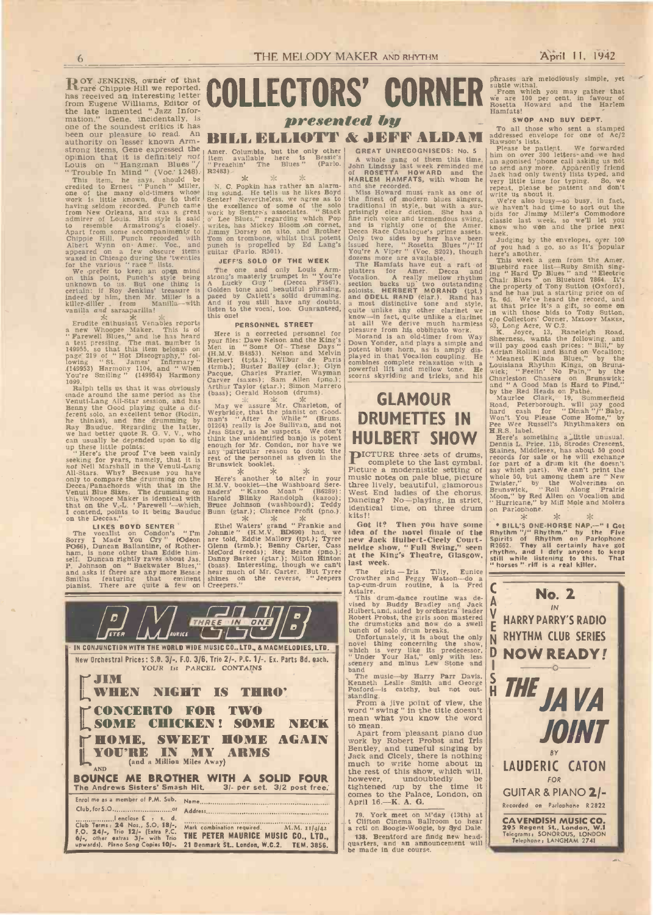This item, he says, should be<br>credited to Ernest "Punch" Miller, N. C. I<br>one of the many old-timers whose ing sound<br>work is little known, due to their Senter!<br>hawing seldom recorded. Punch came the except<br>from New Orleans, to resemble Armstrong's closely. writes, hapart from some accompaniments to Jimmy Dochippie Hill, Punch recorded with Tom on the Albert Wynn on Amer. Voc., and punch is guitar (Pappeared on a few obscure items guitar (Papp

for the various " race " lists.<br>We prefer to keep an open mind The one on this point, Punch's style being strong's nuch<br>then on us. But one thing is a Luckiy<br>certain: if Roy Jenkins' treasure is Golden to<br>indeed by him, then Mr. Miller is a paced by<br>killer-diller - from Manilla-with And if y<br>

Erudite enthusiast Venables reports<br>
"Parew Whoopee Maker. This is of<br>
"Farewell Blues," and he has heard<br>
"Farewell Blues," and he has heard<br>
a test pressing. The mat. number is<br>
Nen in<br>
1499553 Harmony 1104, and "When (t

1099.<br>Ralph tells us that it was obviously made around the same period as the Venuti-Lang All-Star session, and has  $\begin{array}{c} \text{VarV} \\ \text{Nenut-Lang} \\ \text{Benny the Good playing quite a dit-} \end{array}$ ferent solo, an excellent tenor (Rodin, Weybridge<br>he thinks), and fine drumming by Rana's "<br>Ray Bauduc. Regarding the latter, 01264) rea<br>we had better quote R. G. V. V., who Jess State

can usually be depended upon to dig think the up these little points: " Here's the proof I've been vainly any partities eeking for years, namely, that it is rest of the Venuti-Lang Brunswick All Marshall in the Venuti-Lang only to compare the drumming on the Here's<br>Deca/Panachords with that in the H.M.V. but<br>Venuti Blue Sites. The drumming on naders'<br>that on the V.-L. 'Farewell'--which, Bruce Jo<br>that on the Deceas.'<br>I contend, points to it b

The vocalist on Condon's " I'm Johnnie" (H.J.<br>Sorry I Made You Cry " (Odeon Pre told, Eddie<br>PO66), Duncan Ballantine, of Rother- Glenn (trmb.)<br>ham, is none other than Eddie him- McCord (reeds self. Duncan rightly raves about Jas. Danny P. Johnson on " Backwater Blues," (bass).<br>P. Johnson on " Backwater Blues," (bass).<br>Smiths featuring that eminent shines Smiths featuring that eminent<br>pianist. There are quite a few on

# COLLECTORS' CORNER

# presented by<br>BILL ELLIOTT & JEFF ALDAM

Amer. Columbia, but the only other<br>
item available here is Bessie's A v<br>
"Preachin' The Blues" (Parlo. John R2483).

N. C. Popkin has rather an alarm-<br>
ing sound. He tells us he likes Boyd Miss Ho<br>
Senter! Nevertheless, we agree as to the finest<br>
the excellence of some of the solo traditional<br>
work by Senter's associates. "Stack prising

### JEFF'S SOLO OF THE WEEK

The one and only Louis Arm platters that the platters of a Louis Continuent in the Machine and beautiful phrashes, section paced by Catlett's solid drumming. soloists.<br>Baced by Catlett's solid drumming. soloists.<br>Baced by

**PERSONNEL STREET**<br>
Mere is a corrected personnel for a leasure<br>
your files: Dave Nelson and the King's<br>
Men in "Some Of - These Days" Down You<br>
(H.M.V. B4853). Nelson and Melvin potent bl<br>
Herbert (tpts.); Wilbur de Paris

May we assure Mr. Charleton, of<br>
Weybridge, that the pianist on Good-<br>
man's "After A While " (Bruns.<br>
01264) really is Joe Sullivan, and not<br>
Jess Stacy, as he suspects. We don't think the unidentified banjo is potent enough for Mr. Condon, nor have we any particular reason to doubt the rest of the personnel as given in the procries brunswick booklet.

Here's another to alter in your music need to the Washboard Sere-<br>
H.M.V. booklet-the Washboard Sere-<br>
Harold Blinky Randolph (kazoo); Dancing<br>
Bunn (gtar.); Clarence Profit (pno.).<br>
Bunn (gtar.); Clarence Profit (pno.).

Ethel Waters' grand " Frankie and Got it Johnnie" (H.M.V. BD699) had, we | idea of<br>are told, Eddie Mallory (tpt.); Tyree [new Jac<br>Glenn (trmb.); Benny Carter, Cass | neidge s<br>McCord (reeds); Reg Beane (pno.); | at the B<br>Da (bass). Interesting, though we can't hear much of Mr. Carter. But Tyree shines on the reverse, "Jeepers Crowthere Creepers."



GREAT UNRECOGNISEDS: No. 5 A whole gang of them this time.  $\begin{bmatrix} \text{min} & \text{on} \\ \text{an} & \text{a} & \text{on} \\ \text{to} & \text{send} \end{bmatrix}$ 

of ROSETTA HOWARD and the Jack hand she recorded.<br>
Miss Howard must rank as one of repeat,<br>
Miss Howard must rank as one of repeat,<br>
traditional in style, but with a sur-<br>
traditional in style, but with a sur-<br>
prisingly c fine rich voice and tremendous swing, class Decca Race Catalogue's prime assets. week.<br>Only two sides by her have been Judgit

issued here, "Rosetta Blues "/" If of you had a grown and a grown and a grown and a grown and a grown in the dozens more are available.<br>The maintains have cut a raft of This week a The Hamfats have cut a raft of Bluebird r a most distinctive tone and style, at that<br>quite unlike any other clarinet we in with<br>know-in fact, quite unlike a clarinet  $|e|_0$  Colle<br>at all! We derive much harmless  $|93,$  Long

pleasure from his obbligato work.<br>
Morand is an old-time from Way Sheeness and will pay in<br>
Morand with the horn, as is amply dis-<br>
played in that Vocalion coupling. He<br>
played in that Vocalion coupling. He<br>
played in that

## $GLAMOUR$   $_{\text{Road, Peterbo}}$ DRUMETTES IN HULBERT SHOW Road, Peterborough. will pay good hard cash for Dinah "I" Baby. Won't You Please Come Home," by Pee Wee Russell's Rhythmakers on H.R.S. Here's something a ,.little unusual. Dennis L. Price. 115, Strodes Crescent, Staines, Middlesex, has about 50 good

PICTURE three sets of drums, complete to the last cymbal. Picture a modernistic setting of music notes on pale blue, picture three lively, beautiful, glamorous three lively, beautiful, glamorous Twister, West End ladies of the chorus.  $\frac{Brunswi}{Moon}$ Dancing? No-playing, in strict,  $\begin{array}{c} \text{Moon,' by Red Aller} \\ \text{Identical time, on three drum} \\ \end{array}$  on Pariophone. kits!!

Got it? Then you have some spill's new Jack Hulbert-Cicely Court- Spirits of<br>neidge show, " Full Swing," seen R2662. at the King's Theatre, Glasgow, still<br>last week.

The girls - Iris Tilly, Eunice Crowther and Peggy Watson-do a cap-cum-drum routine, à la Fred tap-cum-drum routine,  $\hat{a}$  la Fred  $\begin{bmatrix} 1 \end{bmatrix}$ <br>Astaire.<br>This drum-dance routine was de-

Figure 1.2 and Jack Bookstand and Jack Robert Frontier, and Jack Robert Frontier, and Back Robert Frontier, it is about the direction of solid dramater of the during the state of the movel thing concerning the show. The mo

band<br>The music-by Harry Parr Davis, Kenneth Leslie Smith and George<br>Posford-is catchy, but not out-<br>standing.<br> $\frac{1}{2}$  standing. From a jive point of view, the word<br>" swing " in the title doesn't<br>mean what you know the wo

to mean.

work by Robert Probst and Iris Bentley, and tuneful singing by Jack and Cicely, there is nothing<br>
much to write home about in<br>
the rest of this show, which will,<br>
however, undoubtedly be<br>
tightened rup by the time it<br>
tightened rup by the time it<br>
COUTA<br>
April 16.—K. A. G.

79. York meet on M'day (13th) at<br>t Clifton Cinema Ballroom to hear<br>a rctl on Boogie-Woogie, by Syd Dale. 138. Brentford are findg new head- quarters, and an announcement will be made in due course.

phrases are melodiously simple, yet<br>From which you may gather that<br>From which you may gather that<br>We are 100 per cent. in favour of<br>Rosetta Howard and the Harlem Hamfats!<br>SWOP AND BUY DEPT.

& JEFF ALDAM Radiciessed envelope for one of Ac/2

SWOP AND BUY DEPT.<br>To all those who sent a stamped<br>addressed envelope for one of Ac/2<br>Rawson's lists.<br>Please be patient. We forwarded<br>him on over 300 letters-and we had<br>an agonised 'phone call asking us not<br>to send any mor

repeat, please be patient and don't<br>write us about it.<br>We're also busy-so busy, in fact,<br>we haven't had time to sort out the<br>bids for Jimmy Miller's Commodore classic last week, so we'll let you know who won and the price next<br>week.<br>Judging by the envelopes, over 100<br>of you had a go, so as it's popular<br>here's another.<br>This week a gem from the Amer.<br>This week a gem from the Amer.

ing " Hard Up Blues " and " Electric Chair Blues " on Bluebird 7864. It's the property of Tony Sutton (Oxford). and he has put a starting price on of 7s. 6d. We've heard the record, and at that price it's a gift, so come on in with those bids to Tony Sutton,<br>c/o Collectors' Corner, MELODY MAKER,<br>93, Long Acre, W C.2.<br>K. Joyce, 13, Raneleigh Road.

Sheerness, wants the following, and will pay good cash prices: " Bill," by Adrian Rollini and Band on Vocalion; " Meanest Kinda Blues," by the Louisiana Rhythm Kings, on Bruns- wick; " Feelin' No Pain," by the Charleston Chasers on Brunswick;<br>and " A Good Man is Hard to Find,"<br>by the Red Heads on Pathe.<br>Maurice Clark, 19, Summerfield

records for sale or he will exchange<br>for part of a drum kit (he doesn't part). We can't print the<br>say which part). We can't print the<br>whole 50, but among them are " New Twister," by the Wolverines on Brunswick, " Roll Along Prairie Moon," by Red Allen on Vocalion and " Hurricane," by Miff Mole and Molers on Parlophone.

• BILL'S ONE-HORSE NAP,--" I Got<br>Rhythm "/" Rhythm" on Parlophone<br>Spirits of Rhythm" on Parlophone<br>R2662. They all certainly have got<br>thythm, and I defy anyone to keep<br>still while listening to this. That<br>"horses" riff is a

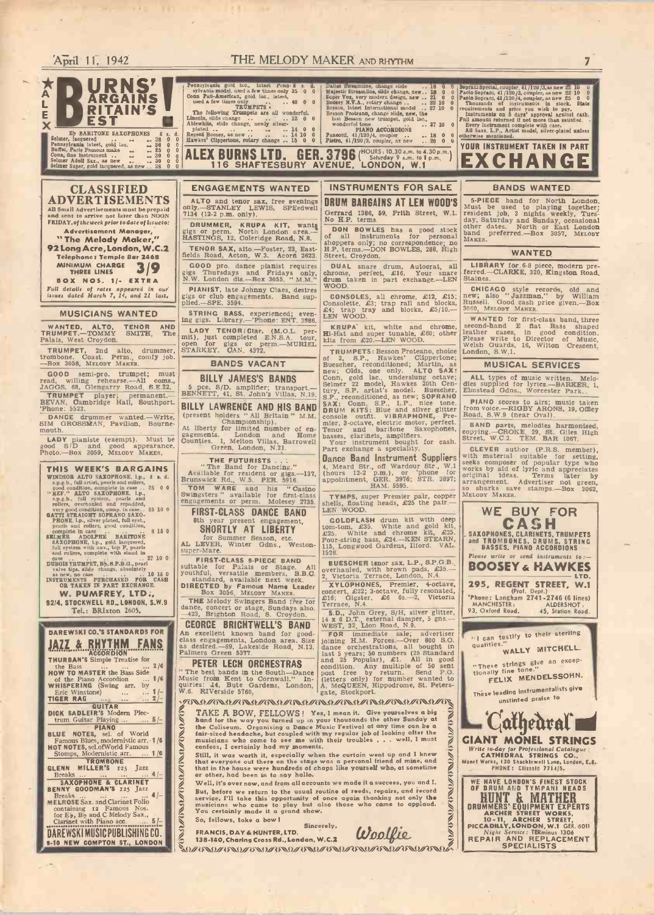### **ED URNS'** ERITAIN'S<br>
Seimer, hagnest and the scheme only and the solution of the same only and the solution of the solution of the solution of the solution of the solution of the solution of the solution of the solution of the solut E BARITONE SAXOPHONES <sup>S</sup> Selmer, lacquered .. 38 Pennsylvania latest, gold lac. - 36 Buffet, Paris Famous make - 25 Conn, One instrument .. - 30 Selmer Adolf Sax.. as new <sup>30</sup> Selmer Super, gold lacquered, as new .. 38 d.  $R_{\text{gecoh}}^{\text{plated}}$  and  $\alpha$ ,  $\beta$  and  $\beta$  and  $\beta$  and  $\beta$  and  $\beta$  and  $\beta$  and  $\beta$  and  $\beta$  and  $\beta$  and  $\beta$  and  $\beta$  and  $\beta$  and  $\beta$  and  $\beta$  and  $\beta$  and  $\beta$  and  $\beta$  and  $\beta$  and  $\beta$  and  $\beta$  and  $\beta$  and  $\overline{\ }$  $\mathbf{0}$  and  $\mathbf{0}$ CLASSIFIED ADVERTISEMENTS All Small Advertisements must be prepaid<br>and sent to arrive not later than NOON 7134 (12-2<br>FRIDAY, of the week prior to date of issueto: RIMM Advertisement Manager,<br>
"The Melody Maker,"<br>
92 Long Acre, London, W.C.2<br>
Telephone: Temple Bar 2468 Telephone: Temple Bar 2468<br>MINIMUM CHARGE 3/9 Sigs T BOX NOS. 1/- EXTRA Full details of rates appeared in our issues dated March 7, 14, and 21 last. **MUSICIANS WANTED** STRING WANTED, ALTO, TENOR AND LADY T<br>TRUMPET.—TOMMY SMITH, The mit), just<br>Palais, West Croydon. TRUMPET, 2nd alto, drummer, trombone. Coast. Perm., comfy job. -Box 3058, MELODY MAKER. GOOD semi-pro. trumpet; must<br>read, willing rehearse.—All coms., JAGGS, 68, Glengarry Road, S.E.22. Dalias Streamine, change side ... 16 0 0 Septani<br>Majestic Streamine, side change, new .. 28 0 0 Paolo Sc<br>Super Vox, very modern design, new ... 22 0 0 Paolo Sc<br>Bessou, I.v.L.A., rotary change ... ... 22 10 0 Thous<br>Bessou, last Beson new trumpet, gold lac.,  $^{18}$  PIANO ACCORDIONS ... 37 10 0  $^{18}$  PIANO ACCORDIONS ... 18 0 0  $^{18}$  Pianotti, 41 /120 /4, coupler ..  $\cdot$  18 0 0  $^{10}$  ... ALEX BURNS LTD. GER. 3796 ("Saturday 9 a.m. 10 1 p.m.") E ENGAGEMENTS WANTED ALTO and tenor sax, free evenings **ORUM**<br>
0nly. --STANLEY LEWIS, SPEedwell Gerrary<br>
7134 (12-2 p.m. only). DRUMMER, KRUPA KIT, wants gigs or perm. North London area.-<br>HASTINGS, 12, Coleridge Road, N.8. TENOR SAX, alto.—Foster, 23, East- H.P. t<br>fields Road, Acton, W.3. Acorn 2623. Street GOOD pro. dance pianist requires DU gs Thursdays and Fridays only, chrone W.W. London dis.-Box 3055, " M.M." drum PIANIST, late Johnny Claes, desires gigs or club engagements. Band sup-<br>plied.-SPE. 3594. STRING BASS, experienced; even.  $\left\{\begin{array}{l}\text{Consolette, } A \text{ Sonsolette, } B \text{ Sonsolette, } B \text{ Sonsolette, } B \text{ Sonsolette, } B \text{ Sonsolette, } B \text{ Sonsolette, } B \text{ Sonsolette, } B \text{ Sonsolette, } B$ STRING BASS, experienced; even-<br>ng gigs. Library. - 'Phone: ENT. 3986. LADY TENOR/Clar. (M.O.L. per-<br>mit), just completed E.N.S.A. tour,  $\frac{1}{N}$  and open for gigs or perm.—MURIEL  $\frac{1}{N}$  it is from £<br>STARKEY. CAN. 4372. BANDS VACANT BILLY JAMES'S BANDS INSTRUMENTS FOR SALE DRUM BARGAINS AT LEN WOOD'S Gerrard 1386, 59, Frith Street, W.I. No H.P. terms. **DON BOWLES** has a good stock of all instruments for personal pother dat propers only; no correspondence; no H.P. terms.--DON BOWLES, 288, High Street, Croydon. DUAL snare drum, Autocrat, all LIBRARY for chrome, perfect, £16. Your snare ferred.-CLARK<br>drum taken in part exchange.--LEN Staines. WOOD. **CONSOLES, all chrome, £12, £15;** Consolette, £3; trap rail and blocks, £4; trap tray and blocks, £5/10.-KRUPA' kit, white and chrome, Hi -Hat and super tunable, £60; other kits from £20.-LEN WOOD. TRUMPETS: Besson Proteano, choice London.<br>Buescher, reconditioned; Martin, as new; Clippertone; New; Olds, one only. ALTO SAX: Soprani Special, coupler, 41/120/3, as new 22 10<br>Paolo Soprani, 41/120/3, coupler, as new 22 10 0<br>Paolo Soprani, 41/120/3, coupler, as new 25 0 0<br>Thousands of instruments in stock. State requirements and price you wish to pay.<br>Instruments on 5 days' approved against cash.<br>Full amount returned if not more than satisfied.<br>Every instrument complete with case.<br>All Saxs. L.P., Artist model, silver-plated unless YOUR INSTRUMENT TAKEN IN PART EXCHANGE BANDS WANTED WANTED LIBRARY for, 6-8 piece, modern pre-<br>ferred.-CLARKE, 320, Kingston Road, Staines. MUSICAL SERVICES

TRUMPET player; permanent. BENNING BEVAN, Cambridge Hall, Southport. BILLY

DANCE drummer wanted.--Write, SIM GROSSMAN, Pavilion, Bournemouth.

LADY pianiste (exempt). Must be good S/D and good appearance. Photo.-Box 3059, MELODY MAKER.

## THIS WEEK'S BARGAINS WINDSOR ALTO SAXOPHONE, 1.p.,  $\hat{s}$  s. d. s.p.g.b., full artist, pearls and rollers, good condition, complete in case .. 25 0 0 "REF." ALTO SAXOPHONE, 1.p.,<br>s.p.g.b., full system, pearls and rollers, overhauled and repadded, very good condition, comp. in case.. 25 10 0 GATTI STRAIGHT SOPRANO SAXO-<br>PHONE, l.p., silver plated, full syst., pearls and rollers, good condition, complete in case  $\cdot$ ,  $\cdot$ ,  $\cdot$  and SELMER ADOLPHE BARITONE<br>
SAXOPHONE, l.p., gold lacquered,<br>
full system with aux., top F, pearls<br>
and rollers, complete with stand in

as new, no case buricularies ... 10 15 0 youthful,<br>INSTRUMENTS PURCHASED FOR CASH CASH CASH CASH OR TAKEN IN PART EXCHANGE.

9214. STOCKWELL RD., LONDON. S.W.D

Tel.: BRIxton 2605.

### DAREWSKI CO.'S STANDARDS FOR JAZZ & RHYTHM FANS **THURBAN'S** Simple Treatise for<br>the Bass ... ... ... 2/6 the Bass<br>**HOW TO MASTER the Bass Side** of the Piano Accordion ... 1/6 Music<br>
WHISPERING (Swing arr. by quirie Eric Winstone) TIGER RAG ... 2/ - GUITAR DICK SADLEIR'S Modern Plec-trum Guitar Playing ... 5/ - PIANO BLUE NOTES, sel. of World Famous Blues, modernistic arr. 1/6 HOT NOTES, sel.ofWorld Famous Stomps, Modernistic arr. ... 1 /6 TROMBONE TROMBONE<br>GLENN MILLER'S 125 Jazz<br>Breaks ... ... ... ... 4/-SAXOPHONE & CLARINET Breaks<br>MELROSE Sax. and Clarinet Folio containing 12 Famous Nos.<br>for E<sub>b</sub>, B<sub>b</sub> and C Melody Sax.,<br>Clarinet with Piano acc. ... 5/-DAREWSKI MUSIC PUBLISHING CO. 9-10 NEW COMPTON ST., LONDON

April 11, 1942 **THE MELODY MAKER AND RHYTHM** 7

EXAMELY CASE .. 27 10 0 **FIRST-CLASS 9-PIECE BAND**<br>DUBOIS TRUMPET, B<sub>b</sub>, a.P.B.G., pearl suitable for Palais or Stage.<br>
white tips, slide change, absolutely<br>
wouthful wersatile members. B. 5 pce. S/D. amplifier; transport.- BENNETT, 41, St. John's Villas, N.19. BILLY LAWRENCE AND HIS BAND **CHET LAT CHAMPIONS " ALL BRITAIN " M.M.** At liberty for limited number of engagements. London and Home Counties. 1, Melton Villas, Barrowell Green, London, N.21. THE FUTURISTS . . " The Band for Dancing." Available for resident or gigs. -137, Brunswick Rd., W.5. PER. 5916. TOM WARE and his "Casino"<br>Swingsters " available for first-class<br>engagements or perm. Molesey 2735. shells. fi FIRST-CLASS DANCE BAND 8th year present engagement, SHORTLY AT LIBERTY | LOTT-LOT for Summer Season, etc.<br>
AL LEVER, Winter Gdns., Weston-115,<br>
super-Mare. FIRST-CLASS 9-PIECE BAND suitable for Palais or Stage. All overhauld, with brown pads, £35.-<br>youthful, versatile members, B.B.C. standard, available next week.  $\frac{2}{2}$  Victoria Terace, London, N.4.<br>DIRECTED by Famous Nam THE Melody Swingers Band free for dance, concert or stage, Sundays also. -423, Brighton Road, S. Croydon. GEORGE BRICHTWELL'S BAND An excellent known band for good-<br>class engagements, London area. Size<br>as desired. -89, Lakeside Road, N.13.<br>Palmers Green 5377. PETER LECH ORCHESTRAS " The best bands in the South-Dance post frem Music from Kent to Cornwall." In-<br>quiries: 14, Bute Gardens, London, A. MoQU<br>W.6. RIVerside 5760. A. A. MoQU Conn, gold lac., underslung octave;<br>Selmer 22 model, Hawkes 20th Cent<br>tury, S.P. artist's model. Buescher, dEmstead Cent<br>S.P., reconditioned, as new; SOPRANO<br>BAX: Conn, S.P., L.P., nice tone, DIANO S.<br>DRUM KITS: Blue and s mier, 3-octave, electric motor, perfect. Tenor and baritone Saxophones, clarinets, amplifiers. The Your instrument bought for cash. Streets, amplifiers. Your instrument bought for cash. **Dance Band Instrument Suppliers** with mat<br>4, Meard Str., off Wardour Str., W.1 seeks com<br>(hours 12-2 p.m.), or 'phone for works by<br>appointment, GER. 3976; STR. 3897; arrangem<br>HAM. 5595.<br>So shark TYMPS, super Premier pair, copper shells, floating heads, £25 the pair.- LEN WOOD. GOLDFLASH drum kit with deep<br>
tom-tom, £35. White and chrome kit, £25.<br>
Four-string bass, £24.--KEN STEARN, and TRO<br>
115, Longwood Gardens, Ilford. VAL.<br>
1528. **BUESCHER tenor sax, L.P., S.P.G.B.**<br>overhauled, with brown pads, £35.- **BOC**<br>2, Victoria Terrace, London, N.4. XYLOPHONES, Premier, 4-octave, 295<br>concert, £22; 3-octave, fully resonated,<br>£16; Gigster, £6 6s.--2, Victoria Penance, N.4. S.D., John Grey, S/H, silver glitter, 14 x 6 D.T., external damper, 5 gns.-<br>WEST, 32, Lion Road, N.9.<br>Johnne H.M. Forces.-Over 800 S.O. (16 can<br>dance orchestrations, all bought in qualitie<br>dance orchestrations, all bought ast 5 years; 50 numbers (25 Standard<br>
and 25 Popular), £1. All in good<br>
condition. Any multiple of 50 sent<br>
post free by return. Send P.O.<br>
(letters only) for number wanted to<br>
A, McQUEEN, Hippodrome, St. Peters-<br>
gate, St W.6. RIVerside 5760, **Francisco Harbor Handel American Steamster American Steamster American Steamster American Steamster American Steamster American Steamster American Steamster American Steamster American Steamster Ameri** 

 $\alpha$  fair-sized  $\alpha$ TAKE A BOW, FELLOWS! Yes, I mean it. Give yourselves a big<br>
hand for the way you turned up in your thousands the other Sunday at<br>
the Coliseum. Organising a Dance Music Festival at any time can be a<br>
fair-sized heddache, b

& that every

So, fellows, take a bow!

FRANCIS, DAY & HUNTER, LTD.<br>138-140, Charing Cross Rd., London, W.C.2 (U)

 $% \mathcal{D}$ 

5 -PIECE band for North London. Must be used to playing together; resident job, 3 nights weekly, Tues- day, Saturday and Sunday, occasional other dates. North or East London band preferred.-Box 3057, MELODY MAKER.

CHICAGO style records, old and<br>new; also " Jazzman," by William<br>Russell. Good cash price given.—Box<br>3060, MELODY MAKER.

WANTED for first-class band, three second-hand E flat Bass shaped leather cases, in good condition.<br>Please write to Director of Music, Welsh Guards, 16, Wilton Crescent, London, S.W.1.

ALL types of music written. Melo- dies supplied for lyrics.--BARKER, 1, Elmstead Gdns., Worcester Park.

PIANO scores to airs; music taken<br>from voice.—RIGBY ARONS, 19, Offiey<br>Road, S.W.9 (near Oval).

BAND parts, melodies harmonised, copying.-CROKE, 29, St. Giles High Street, W.C.2. TEM. BAR 1067.

CLEVER author (P.R.S. member),<br>with material suitable for setting,<br>with material suitable for setting,<br>seeks composer of popular type who<br>works by aid of lyric and appreciates<br>original ideas. Terms later by<br>so sharks save